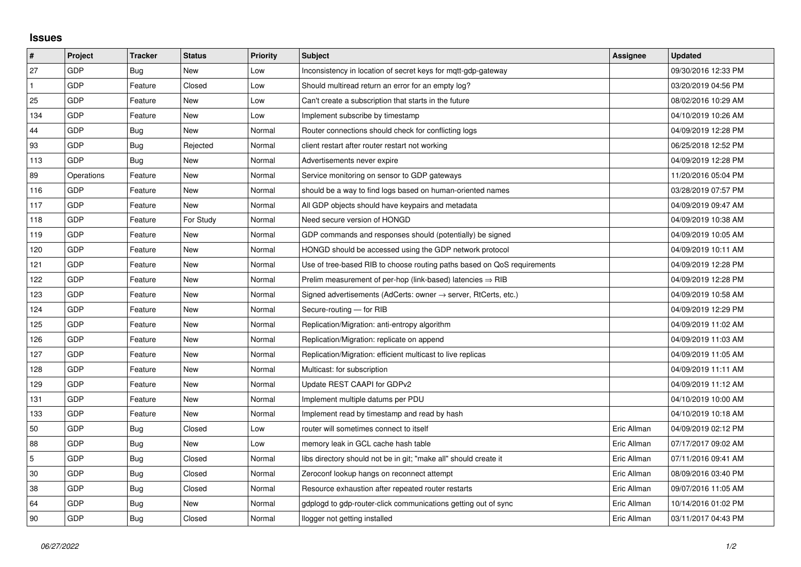## **Issues**

| $\sharp$       | Project    | <b>Tracker</b> | <b>Status</b> | <b>Priority</b> | <b>Subject</b>                                                             | Assignee    | <b>Updated</b>      |
|----------------|------------|----------------|---------------|-----------------|----------------------------------------------------------------------------|-------------|---------------------|
| 27             | GDP        | Bug            | New           | Low             | Inconsistency in location of secret keys for mqtt-gdp-gateway              |             | 09/30/2016 12:33 PM |
| $\mathbf{1}$   | GDP        | Feature        | Closed        | Low             | Should multiread return an error for an empty log?                         |             | 03/20/2019 04:56 PM |
| 25             | GDP        | Feature        | New           | Low             | Can't create a subscription that starts in the future                      |             | 08/02/2016 10:29 AM |
| 134            | GDP        | Feature        | <b>New</b>    | Low             | Implement subscribe by timestamp                                           |             | 04/10/2019 10:26 AM |
| 44             | GDP        | Bug            | <b>New</b>    | Normal          | Router connections should check for conflicting logs                       |             | 04/09/2019 12:28 PM |
| 93             | GDP        | Bug            | Rejected      | Normal          | client restart after router restart not working                            |             | 06/25/2018 12:52 PM |
| 113            | GDP        | Bug            | New           | Normal          | Advertisements never expire                                                |             | 04/09/2019 12:28 PM |
| 89             | Operations | Feature        | New           | Normal          | Service monitoring on sensor to GDP gateways                               |             | 11/20/2016 05:04 PM |
| 116            | GDP        | Feature        | New           | Normal          | should be a way to find logs based on human-oriented names                 |             | 03/28/2019 07:57 PM |
| 117            | GDP        | Feature        | <b>New</b>    | Normal          | All GDP objects should have keypairs and metadata                          |             | 04/09/2019 09:47 AM |
| 118            | GDP        | Feature        | For Study     | Normal          | Need secure version of HONGD                                               |             | 04/09/2019 10:38 AM |
| 119            | GDP        | Feature        | New           | Normal          | GDP commands and responses should (potentially) be signed                  |             | 04/09/2019 10:05 AM |
| 120            | GDP        | Feature        | <b>New</b>    | Normal          | HONGD should be accessed using the GDP network protocol                    |             | 04/09/2019 10:11 AM |
| 121            | GDP        | Feature        | New           | Normal          | Use of tree-based RIB to choose routing paths based on QoS requirements    |             | 04/09/2019 12:28 PM |
| 122            | GDP        | Feature        | New           | Normal          | Prelim measurement of per-hop (link-based) latencies $\Rightarrow$ RIB     |             | 04/09/2019 12:28 PM |
| 123            | GDP        | Feature        | New           | Normal          | Signed advertisements (AdCerts: owner $\rightarrow$ server, RtCerts, etc.) |             | 04/09/2019 10:58 AM |
| 124            | GDP        | Feature        | New           | Normal          | Secure-routing - for RIB                                                   |             | 04/09/2019 12:29 PM |
| 125            | <b>GDP</b> | Feature        | New           | Normal          | Replication/Migration: anti-entropy algorithm                              |             | 04/09/2019 11:02 AM |
| 126            | GDP        | Feature        | New           | Normal          | Replication/Migration: replicate on append                                 |             | 04/09/2019 11:03 AM |
| 127            | GDP        | Feature        | New           | Normal          | Replication/Migration: efficient multicast to live replicas                |             | 04/09/2019 11:05 AM |
| 128            | <b>GDP</b> | Feature        | New           | Normal          | Multicast: for subscription                                                |             | 04/09/2019 11:11 AM |
| 129            | GDP        | Feature        | New           | Normal          | Update REST CAAPI for GDPv2                                                |             | 04/09/2019 11:12 AM |
| 131            | GDP        | Feature        | New           | Normal          | Implement multiple datums per PDU                                          |             | 04/10/2019 10:00 AM |
| 133            | GDP        | Feature        | New           | Normal          | Implement read by timestamp and read by hash                               |             | 04/10/2019 10:18 AM |
| 50             | GDP        | Bug            | Closed        | Low             | router will sometimes connect to itself                                    | Eric Allman | 04/09/2019 02:12 PM |
| 88             | GDP        | Bug            | New           | Low             | memory leak in GCL cache hash table                                        | Eric Allman | 07/17/2017 09:02 AM |
| $\overline{5}$ | GDP        | Bug            | Closed        | Normal          | libs directory should not be in git; "make all" should create it           | Eric Allman | 07/11/2016 09:41 AM |
| 30             | GDP        | Bug            | Closed        | Normal          | Zeroconf lookup hangs on reconnect attempt                                 | Eric Allman | 08/09/2016 03:40 PM |
| 38             | GDP        | Bug            | Closed        | Normal          | Resource exhaustion after repeated router restarts                         | Eric Allman | 09/07/2016 11:05 AM |
| 64             | GDP        | Bug            | New           | Normal          | gdplogd to gdp-router-click communications getting out of sync             | Eric Allman | 10/14/2016 01:02 PM |
| 90             | GDP        | Bug            | Closed        | Normal          | llogger not getting installed                                              | Eric Allman | 03/11/2017 04:43 PM |